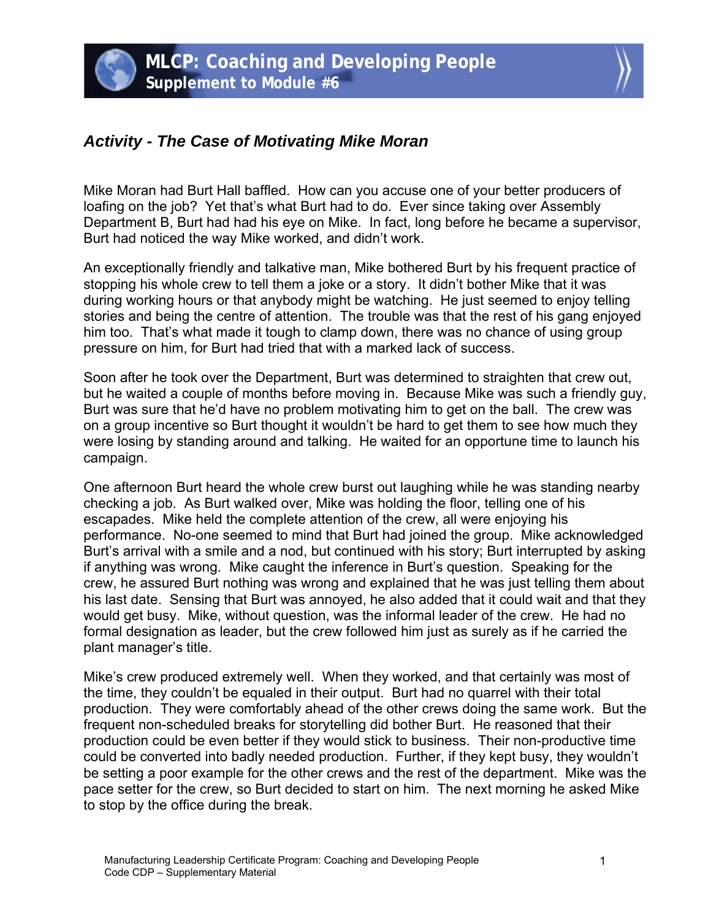## *Activity - The Case of Motivating Mike Moran*

Mike Moran had Burt Hall baffled. How can you accuse one of your better producers of loafing on the job? Yet that's what Burt had to do. Ever since taking over Assembly Department B, Burt had had his eye on Mike. In fact, long before he became a supervisor, Burt had noticed the way Mike worked, and didn't work.

An exceptionally friendly and talkative man, Mike bothered Burt by his frequent practice of stopping his whole crew to tell them a joke or a story. It didn't bother Mike that it was during working hours or that anybody might be watching. He just seemed to enjoy telling stories and being the centre of attention. The trouble was that the rest of his gang enjoyed him too. That's what made it tough to clamp down, there was no chance of using group pressure on him, for Burt had tried that with a marked lack of success.

Soon after he took over the Department, Burt was determined to straighten that crew out, but he waited a couple of months before moving in. Because Mike was such a friendly guy, Burt was sure that he'd have no problem motivating him to get on the ball. The crew was on a group incentive so Burt thought it wouldn't be hard to get them to see how much they were losing by standing around and talking. He waited for an opportune time to launch his campaign.

One afternoon Burt heard the whole crew burst out laughing while he was standing nearby checking a job. As Burt walked over, Mike was holding the floor, telling one of his escapades. Mike held the complete attention of the crew, all were enjoying his performance. No-one seemed to mind that Burt had joined the group. Mike acknowledged Burt's arrival with a smile and a nod, but continued with his story; Burt interrupted by asking if anything was wrong. Mike caught the inference in Burt's question. Speaking for the crew, he assured Burt nothing was wrong and explained that he was just telling them about his last date. Sensing that Burt was annoyed, he also added that it could wait and that they would get busy. Mike, without question, was the informal leader of the crew. He had no formal designation as leader, but the crew followed him just as surely as if he carried the plant manager's title.

Mike's crew produced extremely well. When they worked, and that certainly was most of the time, they couldn't be equaled in their output. Burt had no quarrel with their total production. They were comfortably ahead of the other crews doing the same work. But the frequent non-scheduled breaks for storytelling did bother Burt. He reasoned that their production could be even better if they would stick to business. Their non-productive time could be converted into badly needed production. Further, if they kept busy, they wouldn't be setting a poor example for the other crews and the rest of the department. Mike was the pace setter for the crew, so Burt decided to start on him. The next morning he asked Mike to stop by the office during the break.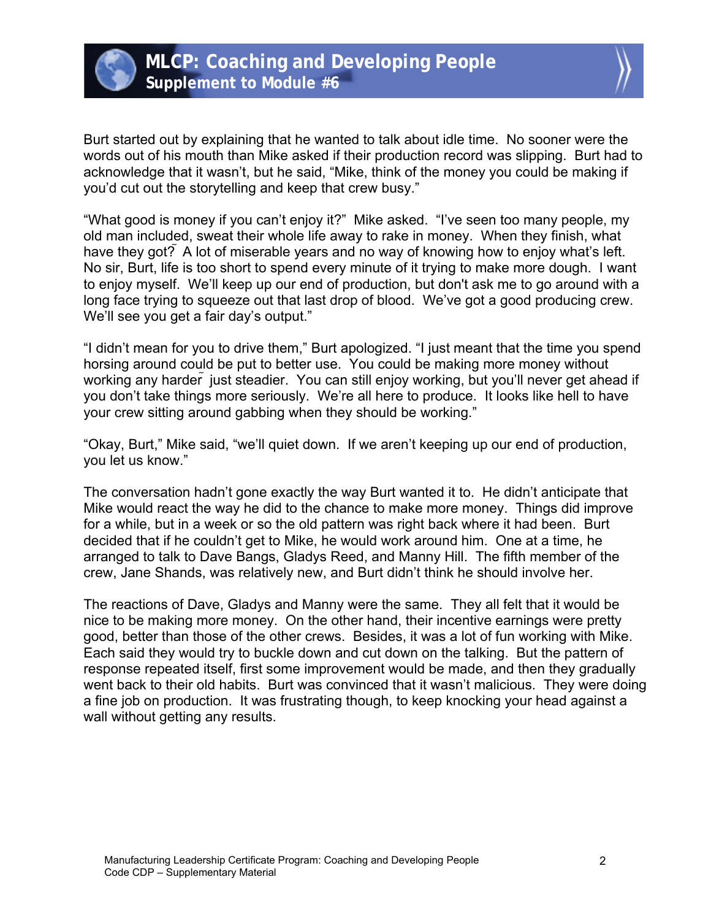

Burt started out by explaining that he wanted to talk about idle time. No sooner were the words out of his mouth than Mike asked if their production record was slipping. Burt had to acknowledge that it wasn't, but he said, "Mike, think of the money you could be making if you'd cut out the storytelling and keep that crew busy."

"What good is money if you can't enjoy it?" Mike asked. "I've seen too many people, my old man included, sweat their whole life away to rake in money. When they finish, what have they got? A lot of miserable years and no way of knowing how to enjoy what's left. No sir, Burt, life is too short to spend every minute of it trying to make more dough. I want to enjoy myself. We'll keep up our end of production, but don't ask me to go around with a long face trying to squeeze out that last drop of blood. We've got a good producing crew. We'll see you get a fair day's output."

"I didn't mean for you to drive them," Burt apologized. "I just meant that the time you spend horsing around could be put to better use. You could be making more money without working any harder just steadier. You can still enjoy working, but you'll never get ahead if you don't take things more seriously. We're all here to produce. It looks like hell to have your crew sitting around gabbing when they should be working."

"Okay, Burt," Mike said, "we'll quiet down. If we aren't keeping up our end of production, you let us know."

The conversation hadn't gone exactly the way Burt wanted it to. He didn't anticipate that Mike would react the way he did to the chance to make more money. Things did improve for a while, but in a week or so the old pattern was right back where it had been. Burt decided that if he couldn't get to Mike, he would work around him. One at a time, he arranged to talk to Dave Bangs, Gladys Reed, and Manny Hill. The fifth member of the crew, Jane Shands, was relatively new, and Burt didn't think he should involve her.

The reactions of Dave, Gladys and Manny were the same. They all felt that it would be nice to be making more money. On the other hand, their incentive earnings were pretty good, better than those of the other crews. Besides, it was a lot of fun working with Mike. Each said they would try to buckle down and cut down on the talking. But the pattern of response repeated itself, first some improvement would be made, and then they gradually went back to their old habits. Burt was convinced that it wasn't malicious. They were doing a fine job on production. It was frustrating though, to keep knocking your head against a wall without getting any results.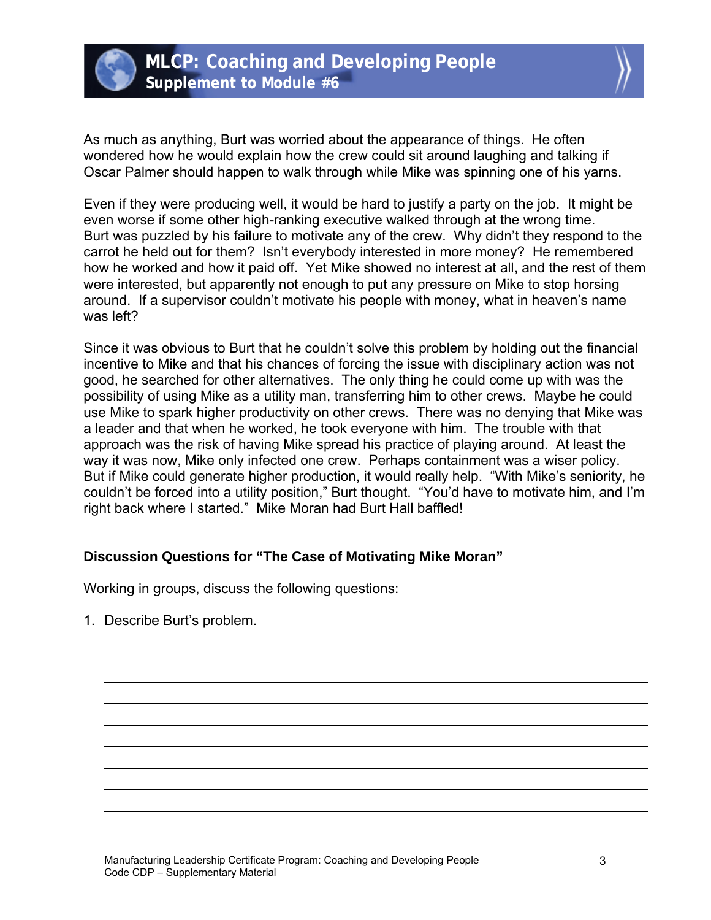



As much as anything, Burt was worried about the appearance of things. He often wondered how he would explain how the crew could sit around laughing and talking if Oscar Palmer should happen to walk through while Mike was spinning one of his yarns.

Even if they were producing well, it would be hard to justify a party on the job. It might be even worse if some other high-ranking executive walked through at the wrong time. Burt was puzzled by his failure to motivate any of the crew. Why didn't they respond to the carrot he held out for them? Isn't everybody interested in more money? He remembered how he worked and how it paid off. Yet Mike showed no interest at all, and the rest of them were interested, but apparently not enough to put any pressure on Mike to stop horsing around. If a supervisor couldn't motivate his people with money, what in heaven's name was left?

Since it was obvious to Burt that he couldn't solve this problem by holding out the financial incentive to Mike and that his chances of forcing the issue with disciplinary action was not good, he searched for other alternatives. The only thing he could come up with was the possibility of using Mike as a utility man, transferring him to other crews. Maybe he could use Mike to spark higher productivity on other crews. There was no denying that Mike was a leader and that when he worked, he took everyone with him. The trouble with that approach was the risk of having Mike spread his practice of playing around. At least the way it was now, Mike only infected one crew. Perhaps containment was a wiser policy. But if Mike could generate higher production, it would really help. "With Mike's seniority, he couldn't be forced into a utility position," Burt thought. "You'd have to motivate him, and I'm right back where I started." Mike Moran had Burt Hall baffled!

## **Discussion Questions for "The Case of Motivating Mike Moran"**

Working in groups, discuss the following questions:

1. Describe Burt's problem.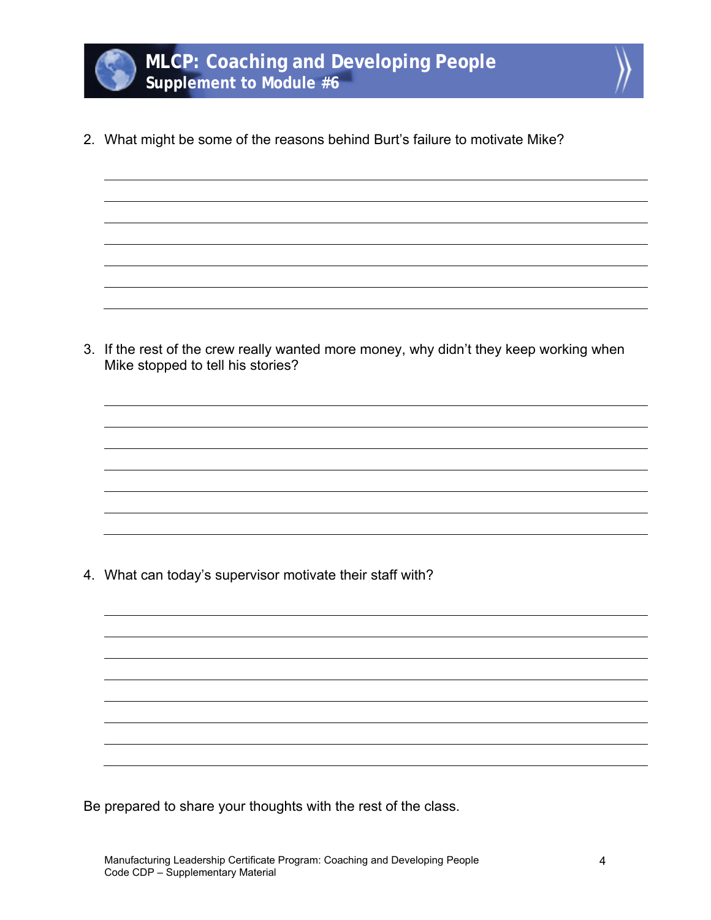

2. What might be some of the reasons behind Burt's failure to motivate Mike?

3. If the rest of the crew really wanted more money, why didn't they keep working when Mike stopped to tell his stories?

4. What can today's supervisor motivate their staff with?

Be prepared to share your thoughts with the rest of the class.